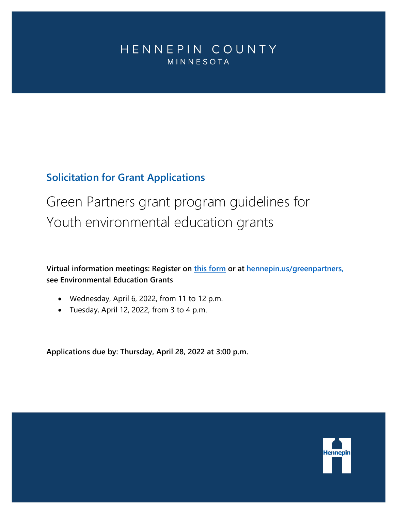# <span id="page-0-0"></span>HENNEPIN COUNTY MINNESOTA

# **Solicitation for Grant Applications**

Green Partners grant program guidelines for Youth environmental education grants

**Virtual information meetings: Register on [this form](https://forms.office.com/Pages/ResponsePage.aspx?id=n9_vioCHv0aPt0ySRlOovvRCljha6UNCuk6P8wNbGh9UNkEyMFBRME5IN0FRQzBLQ1RUMjFaUlRWUS4u) or at hennepin.us/greenpartners, see Environmental Education Grants**

- Wednesday, April 6, 2022, from 11 to 12 p.m.
- Tuesday, April 12, 2022, from 3 to 4 p.m.

**Applications due by: Thursday, April 28, 2022 at 3:00 p.m.**

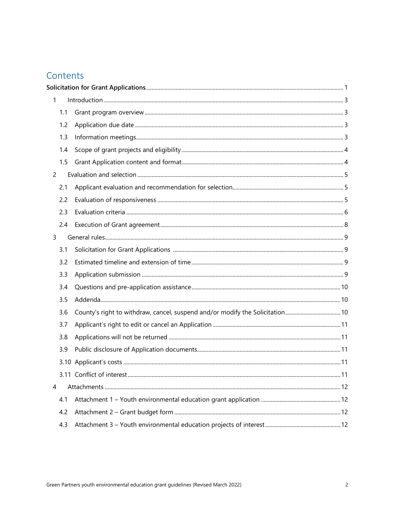# Contents

| $\mathbf{1}$   |                                                                              |  |  |  |
|----------------|------------------------------------------------------------------------------|--|--|--|
| 1.1            |                                                                              |  |  |  |
| 1.2            |                                                                              |  |  |  |
| 1.3            |                                                                              |  |  |  |
| 1.4            |                                                                              |  |  |  |
| 1.5            |                                                                              |  |  |  |
| $\overline{2}$ |                                                                              |  |  |  |
| 2.1            |                                                                              |  |  |  |
| 2.2            |                                                                              |  |  |  |
| 2.3            |                                                                              |  |  |  |
| 2.4            |                                                                              |  |  |  |
| $\mathsf{3}$   |                                                                              |  |  |  |
| 3.1            |                                                                              |  |  |  |
| 3.2            |                                                                              |  |  |  |
| 3.3            |                                                                              |  |  |  |
| 3.4            |                                                                              |  |  |  |
| 3.5            |                                                                              |  |  |  |
| 3.6            | County's right to withdraw, cancel, suspend and/or modify the Solicitation10 |  |  |  |
| 3.7            |                                                                              |  |  |  |
| 3.8            |                                                                              |  |  |  |
| 3.9            |                                                                              |  |  |  |
|                |                                                                              |  |  |  |
|                |                                                                              |  |  |  |
| 4              |                                                                              |  |  |  |
| 4.1            |                                                                              |  |  |  |
| 4.2            |                                                                              |  |  |  |
| 4.3            |                                                                              |  |  |  |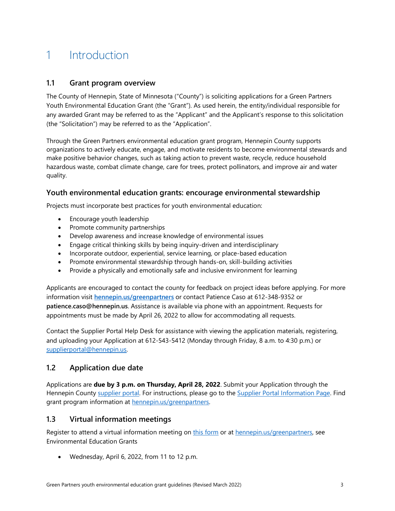# <span id="page-2-0"></span>1 Introduction

### <span id="page-2-1"></span>**1.1 Grant program overview**

The County of Hennepin, State of Minnesota ("County") is soliciting applications for a Green Partners Youth Environmental Education Grant (the "Grant"). As used herein, the entity/individual responsible for any awarded Grant may be referred to as the "Applicant" and the Applicant's response to this solicitation (the "Solicitation") may be referred to as the "Application".

Through the Green Partners environmental education grant program, Hennepin County supports organizations to actively educate, engage, and motivate residents to become environmental stewards and make positive behavior changes, such as taking action to prevent waste, recycle, reduce household hazardous waste, combat climate change, care for trees, protect pollinators, and improve air and water quality.

### **Youth environmental education grants: encourage environmental stewardship**

Projects must incorporate best practices for youth environmental education:

- Encourage youth leadership
- Promote community partnerships
- Develop awareness and increase knowledge of environmental issues
- Engage critical thinking skills by being inquiry-driven and interdisciplinary
- Incorporate outdoor, experiential, service learning, or place-based education
- Promote environmental stewardship through hands-on, skill-building activities
- Provide a physically and emotionally safe and inclusive environment for learning

Applicants are encouraged to contact the county for feedback on project ideas before applying. For more information visit **[hennepin.us/greenpartners](http://www.hennepin.us/greenpartners)** or contact Patience Caso at 612-348-9352 or **patience.caso@hennepin.us**. Assistance is available via phone with an appointment. Requests for appointments must be made by April 26, 2022 to allow for accommodating all requests.

<span id="page-2-2"></span>Contact the Supplier Portal Help Desk for assistance with viewing the application materials, registering, and uploading your Application at 612-543-5412 (Monday through Friday, 8 a.m. to 4:30 p.m.) or [supplierportal@hennepin.us.](mailto:supplierportal@hennepin.us)

## **1.2 Application due date**

Applications are **due by 3 p.m. on Thursday, April 28, 2022**. Submit your Application through the Hennepin County [supplier portal.](https://supplier.hennepin.us/psp/fprd/SUPPLIER/ERP/h/?tab=HC_SUPPLIER_PUBLIC) For instructions, please go to the [Supplier Portal Information Page.](http://www.hennepin.us/business/work-with-henn-co/supplier-portal) Find grant program information at [hennepin.us/greenpartners.](http://www.hennepin.us/greenpartners)

## <span id="page-2-3"></span>**1.3 Virtual information meetings**

Register to attend a virtual information meeting on [this form](https://forms.office.com/Pages/ResponsePage.aspx?id=n9_vioCHv0aPt0ySRlOovvRCljha6UNCuk6P8wNbGh9UNkEyMFBRME5IN0FRQzBLQ1RUMjFaUlRWUS4u) or at [hennepin.us/greenpartners,](http://www.hennepin.us/greenpartners) see Environmental Education Grants

• Wednesday, April 6, 2022, from 11 to 12 p.m.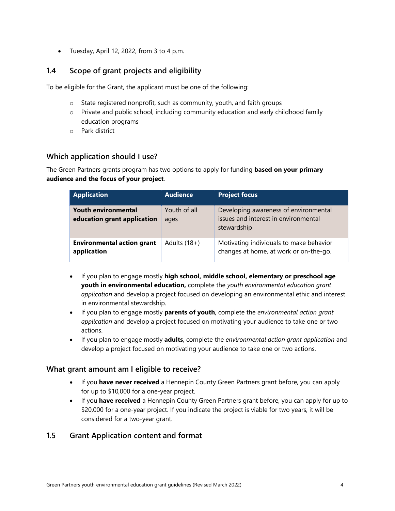• Tuesday, April 12, 2022, from 3 to 4 p.m.

## <span id="page-3-0"></span>**1.4 Scope of grant projects and eligibility**

To be eligible for the Grant, the applicant must be one of the following:

- o State registered nonprofit, such as community, youth, and faith groups
- $\circ$  Private and public school, including community education and early childhood family education programs
- o Park district

## **Which application should I use?**

The Green Partners grants program has two options to apply for funding **based on your primary audience and the focus of your project**.

| <b>Application</b>                                        | <b>Audience</b>      | <b>Project focus</b>                                                                         |
|-----------------------------------------------------------|----------------------|----------------------------------------------------------------------------------------------|
| <b>Youth environmental</b><br>education grant application | Youth of all<br>ages | Developing awareness of environmental<br>issues and interest in environmental<br>stewardship |
| <b>Environmental action grant</b><br>application          | Adults $(18+)$       | Motivating individuals to make behavior<br>changes at home, at work or on-the-go.            |

- If you plan to engage mostly **high school, middle school, elementary or preschool age youth in environmental education,** complete the *youth environmental education grant application* and develop a project focused on developing an environmental ethic and interest in environmental stewardship.
- If you plan to engage mostly **parents of youth**, complete the *environmental action grant application* and develop a project focused on motivating your audience to take one or two actions.
- If you plan to engage mostly **adults**, complete the *environmental action grant application* and develop a project focused on motivating your audience to take one or two actions.

#### **What grant amount am I eligible to receive?**

- If you **have never received** a Hennepin County Green Partners grant before, you can apply for up to \$10,000 for a one-year project.
- If you **have received** a Hennepin County Green Partners grant before, you can apply for up to \$20,000 for a one-year project. If you indicate the project is viable for two years, it will be considered for a two-year grant.

## <span id="page-3-1"></span>**1.5 Grant Application content and format**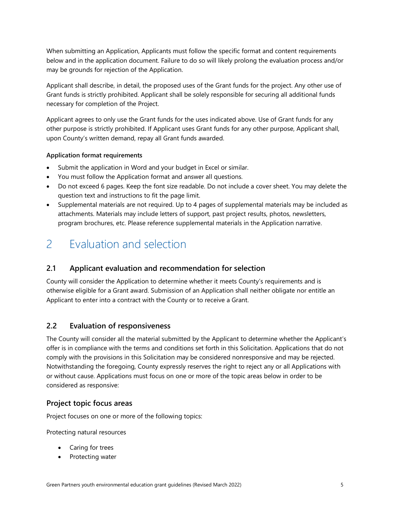When submitting an Application, Applicants must follow the specific format and content requirements below and in the application document. Failure to do so will likely prolong the evaluation process and/or may be grounds for rejection of the Application.

Applicant shall describe, in detail, the proposed uses of the Grant funds for the project. Any other use of Grant funds is strictly prohibited. Applicant shall be solely responsible for securing all additional funds necessary for completion of the Project.

Applicant agrees to only use the Grant funds for the uses indicated above. Use of Grant funds for any other purpose is strictly prohibited. If Applicant uses Grant funds for any other purpose, Applicant shall, upon County's written demand, repay all Grant funds awarded.

#### **Application format requirements**

- Submit the application in Word and your budget in Excel or similar.
- You must follow the Application format and answer all questions.
- Do not exceed 6 pages. Keep the font size readable. Do not include a cover sheet. You may delete the question text and instructions to fit the page limit.
- Supplemental materials are not required. Up to 4 pages of supplemental materials may be included as attachments. Materials may include letters of support, past project results, photos, newsletters, program brochures, etc. Please reference supplemental materials in the Application narrative.

# <span id="page-4-0"></span>2 Evaluation and selection

## <span id="page-4-1"></span>**2.1 Applicant evaluation and recommendation for selection**

County will consider the Application to determine whether it meets County's requirements and is otherwise eligible for a Grant award. Submission of an Application shall neither obligate nor entitle an Applicant to enter into a contract with the County or to receive a Grant.

## <span id="page-4-2"></span>**2.2 Evaluation of responsiveness**

The County will consider all the material submitted by the Applicant to determine whether the Applicant's offer is in compliance with the terms and conditions set forth in this Solicitation. Applications that do not comply with the provisions in this Solicitation may be considered nonresponsive and may be rejected. Notwithstanding the foregoing, County expressly reserves the right to reject any or all Applications with or without cause. Applications must focus on one or more of the topic areas below in order to be considered as responsive:

## **Project topic focus areas**

Project focuses on one or more of the following topics:

Protecting natural resources

- Caring for trees
- Protecting water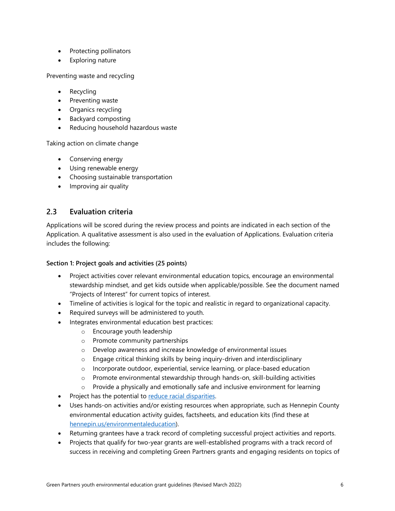- Protecting pollinators
- Exploring nature

Preventing waste and recycling

- **Recycling**
- Preventing waste
- Organics recycling
- Backyard composting
- Reducing household hazardous waste

Taking action on climate change

- Conserving energy
- Using renewable energy
- Choosing sustainable transportation
- Improving air quality

### <span id="page-5-0"></span>**2.3 Evaluation criteria**

Applications will be scored during the review process and points are indicated in each section of the Application. A qualitative assessment is also used in the evaluation of Applications. Evaluation criteria includes the following:

#### **Section 1: Project goals and activities (25 points)**

- Project activities cover relevant environmental education topics, encourage an environmental stewardship mindset, and get kids outside when applicable/possible. See the document named "Projects of Interest" for current topics of interest.
- Timeline of activities is logical for the topic and realistic in regard to organizational capacity.
- Required surveys will be administered to youth.
- Integrates environmental education best practices:
	- o Encourage youth leadership
	- o Promote community partnerships
	- o Develop awareness and increase knowledge of environmental issues
	- o Engage critical thinking skills by being inquiry-driven and interdisciplinary
	- o Incorporate outdoor, experiential, service learning, or place-based education
	- $\circ$  Promote environmental stewardship through hands-on, skill-building activities
	- o Provide a physically and emotionally safe and inclusive environment for learning
- Project has the potential to [reduce racial disparities.](https://www.hennepin.us/your-government/overview/addressing-disparities-in-hennepin-county)
- Uses hands-on activities and/or existing resources when appropriate, such as Hennepin County environmental education activity guides, factsheets, and education kits (find these at [hennepin.us/environmentaleducation\)](https://www.hennepin.us/environmentaleducation).
- Returning grantees have a track record of completing successful project activities and reports.
- Projects that qualify for two-year grants are well-established programs with a track record of success in receiving and completing Green Partners grants and engaging residents on topics of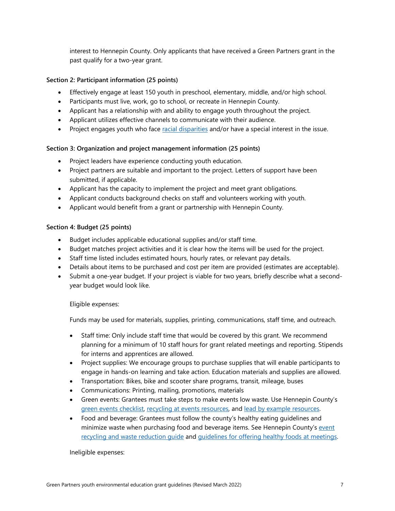interest to Hennepin County. Only applicants that have received a Green Partners grant in the past qualify for a two-year grant.

#### **Section 2: Participant information (25 points)**

- Effectively engage at least 150 youth in preschool, elementary, middle, and/or high school.
- Participants must live, work, go to school, or recreate in Hennepin County.
- Applicant has a relationship with and ability to engage youth throughout the project.
- Applicant utilizes effective channels to communicate with their audience.
- Project engages youth who face [racial disparities](https://www.hennepin.us/your-government/overview/addressing-disparities-in-hennepin-county) and/or have a special interest in the issue.

#### **Section 3: Organization and project management information (25 points)**

- Project leaders have experience conducting youth education.
- Project partners are suitable and important to the project. Letters of support have been submitted, if applicable.
- Applicant has the capacity to implement the project and meet grant obligations.
- Applicant conducts background checks on staff and volunteers working with youth.
- Applicant would benefit from a grant or partnership with Hennepin County.

#### **Section 4: Budget (25 points)**

- Budget includes applicable educational supplies and/or staff time.
- Budget matches project activities and it is clear how the items will be used for the project.
- Staff time listed includes estimated hours, hourly rates, or relevant pay details.
- Details about items to be purchased and cost per item are provided (estimates are acceptable).
- Submit a one-year budget. If your project is viable for two years, briefly describe what a secondyear budget would look like.

#### Eligible expenses:

Funds may be used for materials, supplies, printing, communications, staff time, and outreach.

- Staff time: Only include staff time that would be covered by this grant. We recommend planning for a minimum of 10 staff hours for grant related meetings and reporting. Stipends for interns and apprentices are allowed.
- Project supplies: We encourage groups to purchase supplies that will enable participants to engage in hands-on learning and take action. Education materials and supplies are allowed.
- Transportation: Bikes, bike and scooter share programs, transit, mileage, buses
- Communications: Printing, mailing, promotions, materials
- Green events: Grantees must take steps to make events low waste. Use Hennepin County's [green events checklist,](http://www.hennepin.us/-/media/hennepinus/business/work-with-hennepin-county/environmental-education-activities/introduction-green-event-checklist.pdf?la=en) [recycling at events resources,](http://www.hennepin.us/eventrecycling) and [lead by example resources.](http://www.hennepin.us/-/media/hennepinus/business/work-with-hennepin-county/environmental-education-activities/general-greening-operations.pdf?la=en)
- Food and beverage: Grantees must follow the county's healthy eating guidelines and minimize waste when purchasing food and beverage items. See Hennepin County's [event](http://www.hennepin.us/eventrecycling)  recycling and waste reduction quide and [guidelines for offering healthy foods at meetings.](http://sph.umn.edu/site/docs/degrees-programs/nutrition/SPH%20Guidelines%20for%20Offering%20Healthy%20Foods.pdf)

Ineligible expenses: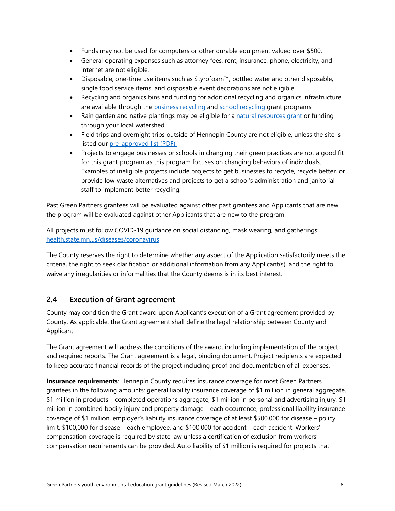- Funds may not be used for computers or other durable equipment valued over \$500.
- General operating expenses such as attorney fees, rent, insurance, phone, electricity, and internet are not eligible.
- Disposable, one-time use items such as Styrofoam™, bottled water and other disposable, single food service items, and disposable event decorations are not eligible.
- Recycling and organics bins and funding for additional recycling and organics infrastructure are available through the **business recycling and [school recycling](https://www.hennepin.us/business/recycling-hazardous-waste/school-recycling) grant programs**.
- Rain garden and native plantings may be eligible for a [natural resources grant](https://www.hennepin.us/business/conservation/funding-assistance-natural-resources-projects) or funding through your local watershed.
- Field trips and overnight trips outside of Hennepin County are not eligible, unless the site is listed our [pre-approved list \(PDF\).](https://www.hennepin.us/-/media/hennepinus/business/work-with-hennepin-county/environmental-education/pre-approved-field-trip-locations.pdf)
- Projects to engage businesses or schools in changing their green practices are not a good fit for this grant program as this program focuses on changing behaviors of individuals. Examples of ineligible projects include projects to get businesses to recycle, recycle better, or provide low-waste alternatives and projects to get a school's administration and janitorial staff to implement better recycling.

Past Green Partners grantees will be evaluated against other past grantees and Applicants that are new the program will be evaluated against other Applicants that are new to the program.

All projects must follow COVID-19 guidance on social distancing, mask wearing, and gatherings: [health.state.mn.us/diseases/coronavirus](https://www.health.state.mn.us/diseases/coronavirus/)

The County reserves the right to determine whether any aspect of the Application satisfactorily meets the criteria, the right to seek clarification or additional information from any Applicant(s), and the right to waive any irregularities or informalities that the County deems is in its best interest.

## <span id="page-7-0"></span>**2.4 Execution of Grant agreement**

County may condition the Grant award upon Applicant's execution of a Grant agreement provided by County. As applicable, the Grant agreement shall define the legal relationship between County and Applicant.

The Grant agreement will address the conditions of the award, including implementation of the project and required reports. The Grant agreement is a legal, binding document. Project recipients are expected to keep accurate financial records of the project including proof and documentation of all expenses.

**Insurance requirements:** Hennepin County requires insurance coverage for most Green Partners grantees in the following amounts: general liability insurance coverage of \$1 million in general aggregate, \$1 million in products – completed operations aggregate, \$1 million in personal and advertising injury, \$1 million in combined bodily injury and property damage – each occurrence, professional liability insurance coverage of \$1 million, employer's liability insurance coverage of at least \$500,000 for disease – policy limit, \$100,000 for disease – each employee, and \$100,000 for accident – each accident. Workers' compensation coverage is required by state law unless a certification of exclusion from workers' compensation requirements can be provided. Auto liability of \$1 million is required for projects that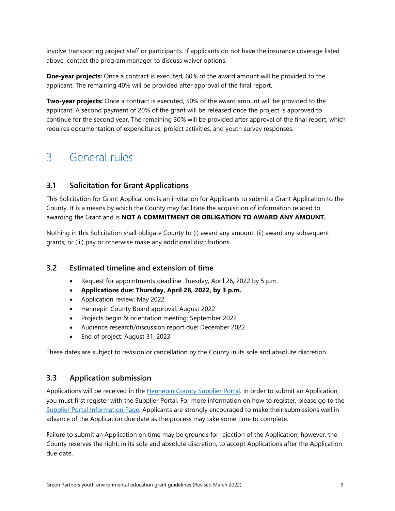involve transporting project staff or participants. If applicants do not have the insurance coverage listed above, contact the program manager to discuss waiver options.

**One-year projects:** Once a contract is executed, 60% of the award amount will be provided to the applicant. The remaining 40% will be provided after approval of the final report.

**Two-year projects:** Once a contract is executed, 50% of the award amount will be provided to the applicant. A second payment of 20% of the grant will be released once the project is approved to continue for the second year. The remaining 30% will be provided after approval of the final report, which requires documentation of expenditures, project activities, and youth survey responses.

# <span id="page-8-0"></span>3 General rules

# <span id="page-8-1"></span>**3.1 Solicitation for Grant Applications**

This Solicitation for Grant Applications is an invitation for Applicants to submit a Grant Application to the County. It is a means by which the County may facilitate the acquisition of information related to awarding the Grant and is **NOT A COMMITMENT OR OBLIGATION TO AWARD ANY AMOUNT.** 

Nothing in this Solicitation shall obligate County to (i) award any amount; (ii) award any subsequent grants; or (iii) pay or otherwise make any additional distributions.

## <span id="page-8-2"></span>**3.2 Estimated timeline and extension of time**

- Request for appointments deadline: Tuesday, April 26, 2022 by 5 p.m.
- **Applications due: Thursday, April 28, 2022, by 3 p.m.**
- Application review: May 2022
- Hennepin County Board approval: August 2022
- Projects begin & orientation meeting: September 2022
- Audience research/discussion report due: December 2022
- End of project: August 31, 2023

These dates are subject to revision or cancellation by the County in its sole and absolute discretion.

## <span id="page-8-3"></span>**3.3 Application submission**

Applications will be received in the [Hennepin County Supplier Portal.](https://supplier.hennepin.us/psp/fprd/SUPPLIER/ERP/h/?tab=HC_SUPPLIER_PUBLIC) In order to submit an Application, you must first register with the Supplier Portal. For more information on how to register, please go to the [Supplier Portal Information Page.](http://www.hennepin.us/business/work-with-henn-co/supplier-portal) Applicants are strongly encouraged to make their submissions well in advance of the Application due date as the process may take some time to complete.

Failure to submit an Application on time may be grounds for rejection of the Application; however, the County reserves the right, in its sole and absolute discretion, to accept Applications after the Application due date.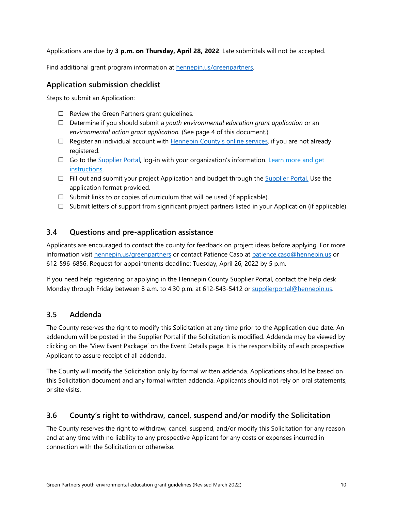Applications are due by **3 p.m. on Thursday, April 28, 2022**. Late submittals will not be accepted.

Find additional grant program information at **hennepin.us/greenpartners**.

## **Application submission checklist**

Steps to submit an Application:

- $\Box$  Review the Green Partners grant guidelines.
- Determine if you should submit a *youth environmental education grant application* or an *environmental action grant application.* (See page 4 of this document.)
- $\Box$  Register an individual account with [Hennepin County's online services,](https://supplier.hennepin.us/psp/fprd/SUPPLIER/ERP/h/?tab=HC_SUPPLIER_PUBLIC) if you are not already registered.
- $\Box$  Go to the [Supplier Portal,](https://supplier.hennepin.us/psp/fprd/SUPPLIER/ERP/h/?tab=HC_SUPPLIER_PUBLIC) log-in with your organization's information. Learn more and get [instructions.](https://www.hennepin.us/business/work-with-henn-co/supplier-portal)
- $\Box$  Fill out and submit your project Application and budget through the [Supplier Portal.](https://supplier.hennepin.us/psp/fprd/SUPPLIER/ERP/h/?tab=HC_SUPPLIER_PUBLIC) Use the application format provided.
- $\Box$  Submit links to or copies of curriculum that will be used (if applicable).
- $\Box$  Submit letters of support from significant project partners listed in your Application (if applicable).

## <span id="page-9-0"></span>**3.4 Questions and pre-application assistance**

Applicants are encouraged to contact the county for feedback on project ideas before applying. For more information visit [hennepin.us/greenpartners](https://www.hennepin.us/greenpartners) or contact Patience Caso at [patience.caso@hennepin.us](mailto:patience.caso@hennepin.us) or 612-596-6856. Request for appointments deadline: Tuesday, April 26, 2022 by 5 p.m.

If you need help registering or applying in the Hennepin County Supplier Portal, contact the help desk Monday through Friday between 8 a.m. to 4:30 p.m. at 612-543-5412 or [supplierportal@hennepin.us.](mailto:supplierportal@hennepin.us)

## <span id="page-9-1"></span>**3.5 Addenda**

The County reserves the right to modify this Solicitation at any time prior to the Application due date. An addendum will be posted in the Supplier Portal if the Solicitation is modified. Addenda may be viewed by clicking on the 'View Event Package' on the Event Details page. It is the responsibility of each prospective Applicant to assure receipt of all addenda.

The County will modify the Solicitation only by formal written addenda. Applications should be based on this Solicitation document and any formal written addenda. Applicants should not rely on oral statements, or site visits.

## <span id="page-9-2"></span>**3.6 County's right to withdraw, cancel, suspend and/or modify the Solicitation**

The County reserves the right to withdraw, cancel, suspend, and/or modify this Solicitation for any reason and at any time with no liability to any prospective Applicant for any costs or expenses incurred in connection with the Solicitation or otherwise.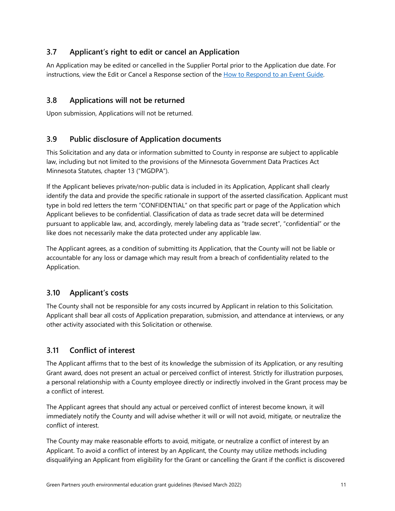# <span id="page-10-0"></span>**3.7 Applicant's right to edit or cancel an Application**

An Application may be edited or cancelled in the Supplier Portal prior to the Application due date. For instructions, view the Edit or Cancel a Response section of the [How to Respond to an Event Guide.](https://www.hennepin.us/-/media/hennepinus/business/work-with-hennepin-county/docs-m-z/how-to-respond-to-an-event-v4.pdf)

## <span id="page-10-1"></span>**3.8 Applications will not be returned**

Upon submission, Applications will not be returned.

## <span id="page-10-2"></span>**3.9 Public disclosure of Application documents**

This Solicitation and any data or information submitted to County in response are subject to applicable law, including but not limited to the provisions of the Minnesota Government Data Practices Act Minnesota Statutes, chapter 13 ("MGDPA").

If the Applicant believes private/non-public data is included in its Application, Applicant shall clearly identify the data and provide the specific rationale in support of the asserted classification. Applicant must type in bold red letters the term "CONFIDENTIAL" on that specific part or page of the Application which Applicant believes to be confidential. Classification of data as trade secret data will be determined pursuant to applicable law, and, accordingly, merely labeling data as "trade secret", "confidential" or the like does not necessarily make the data protected under any applicable law.

The Applicant agrees, as a condition of submitting its Application, that the County will not be liable or accountable for any loss or damage which may result from a breach of confidentiality related to the Application.

## <span id="page-10-3"></span>**3.10 Applicant's costs**

The County shall not be responsible for any costs incurred by Applicant in relation to this Solicitation. Applicant shall bear all costs of Application preparation, submission, and attendance at interviews, or any other activity associated with this Solicitation or otherwise.

## <span id="page-10-4"></span>**3.11 Conflict of interest**

The Applicant affirms that to the best of its knowledge the submission of its Application, or any resulting Grant award, does not present an actual or perceived conflict of interest. Strictly for illustration purposes, a personal relationship with a County employee directly or indirectly involved in the Grant process may be a conflict of interest.

The Applicant agrees that should any actual or perceived conflict of interest become known, it will immediately notify the County and will advise whether it will or will not avoid, mitigate, or neutralize the conflict of interest.

The County may make reasonable efforts to avoid, mitigate, or neutralize a conflict of interest by an Applicant. To avoid a conflict of interest by an Applicant, the County may utilize methods including disqualifying an Applicant from eligibility for the Grant or cancelling the Grant if the conflict is discovered